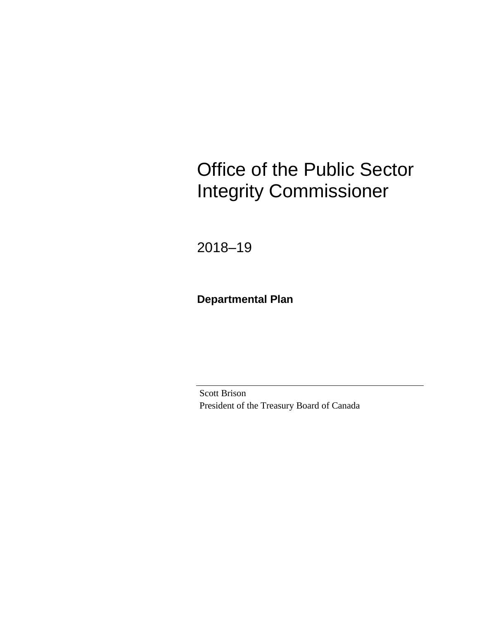# Office of the Public Sector Integrity Commissioner

2018–19

**Departmental Plan**

Scott Brison President of the Treasury Board of Canada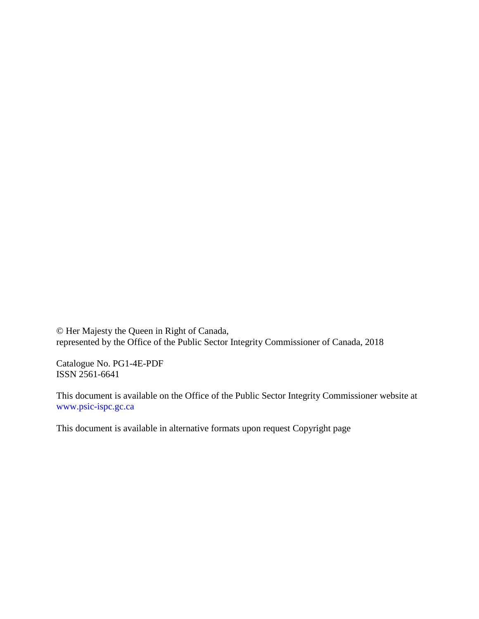© Her Majesty the Queen in Right of Canada, represented by the Office of the Public Sector Integrity Commissioner of Canada, 2018

Catalogue No. PG1-4E-PDF ISSN 2561-6641

This document is available on the Office of the Public Sector Integrity Commissioner website at [www.psic-ispc.gc.ca](http://www.psic-ispc.gc.ca/)

This document is available in alternative formats upon request Copyright page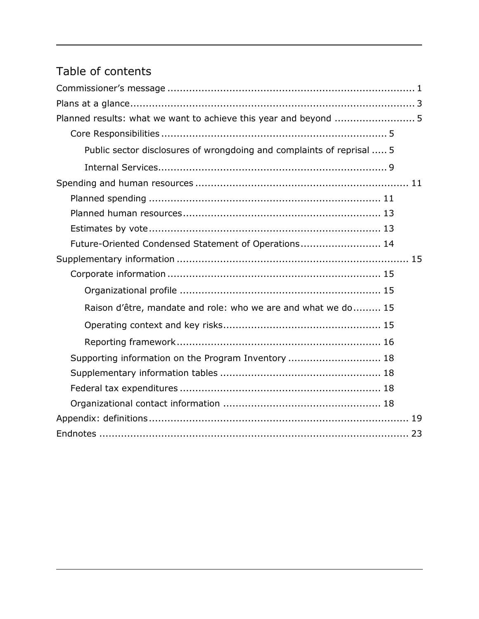# Table of contents

| Planned results: what we want to achieve this year and beyond  5      |
|-----------------------------------------------------------------------|
|                                                                       |
| Public sector disclosures of wrongdoing and complaints of reprisal  5 |
|                                                                       |
|                                                                       |
|                                                                       |
|                                                                       |
|                                                                       |
| Future-Oriented Condensed Statement of Operations 14                  |
|                                                                       |
|                                                                       |
|                                                                       |
| Raison d'être, mandate and role: who we are and what we do 15         |
|                                                                       |
|                                                                       |
| Supporting information on the Program Inventory  18                   |
|                                                                       |
|                                                                       |
|                                                                       |
|                                                                       |
|                                                                       |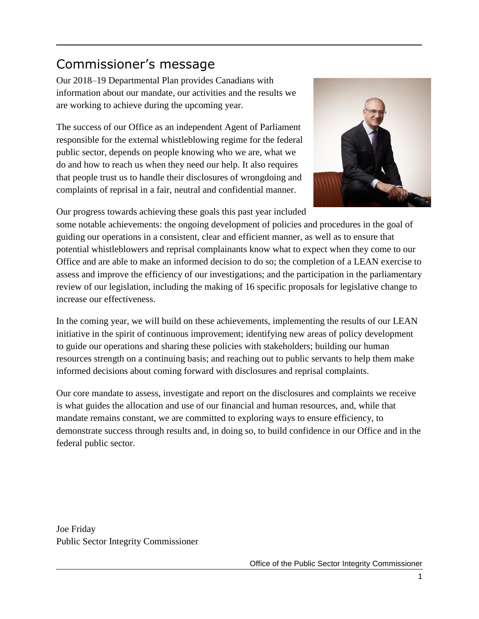# <span id="page-4-0"></span>Commissioner's message

Our 2018–19 Departmental Plan provides Canadians with information about our mandate, our activities and the results we are working to achieve during the upcoming year.

The success of our Office as an independent Agent of Parliament responsible for the external whistleblowing regime for the federal public sector, depends on people knowing who we are, what we do and how to reach us when they need our help. It also requires that people trust us to handle their disclosures of wrongdoing and complaints of reprisal in a fair, neutral and confidential manner.



Our progress towards achieving these goals this past year included

some notable achievements: the ongoing development of policies and procedures in the goal of guiding our operations in a consistent, clear and efficient manner, as well as to ensure that potential whistleblowers and reprisal complainants know what to expect when they come to our Office and are able to make an informed decision to do so; the completion of a LEAN exercise to assess and improve the efficiency of our investigations; and the participation in the parliamentary review of our legislation, including the making of 16 specific proposals for legislative change to increase our effectiveness.

In the coming year, we will build on these achievements, implementing the results of our LEAN initiative in the spirit of continuous improvement; identifying new areas of policy development to guide our operations and sharing these policies with stakeholders; building our human resources strength on a continuing basis; and reaching out to public servants to help them make informed decisions about coming forward with disclosures and reprisal complaints.

Our core mandate to assess, investigate and report on the disclosures and complaints we receive is what guides the allocation and use of our financial and human resources, and, while that mandate remains constant, we are committed to exploring ways to ensure efficiency, to demonstrate success through results and, in doing so, to build confidence in our Office and in the federal public sector.

Joe Friday Public Sector Integrity Commissioner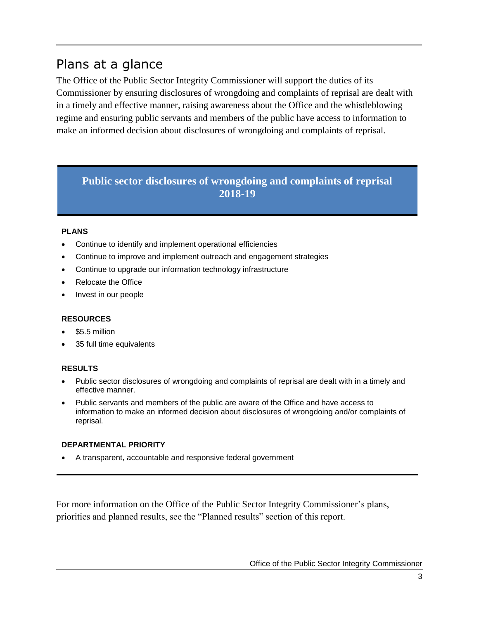# <span id="page-6-0"></span>Plans at a glance

The Office of the Public Sector Integrity Commissioner will support the duties of its Commissioner by ensuring disclosures of wrongdoing and complaints of reprisal are dealt with in a timely and effective manner, raising awareness about the Office and the whistleblowing regime and ensuring public servants and members of the public have access to information to make an informed decision about disclosures of wrongdoing and complaints of reprisal.

# **Public sector disclosures of wrongdoing and complaints of reprisal 2018-19**

#### **PLANS**

- Continue to identify and implement operational efficiencies
- Continue to improve and implement outreach and engagement strategies
- Continue to upgrade our information technology infrastructure
- Relocate the Office
- Invest in our people

#### **RESOURCES**

- \$5.5 million
- 35 full time equivalents

#### **RESULTS**

- Public sector disclosures of wrongdoing and complaints of reprisal are dealt with in a timely and effective manner.
- Public servants and members of the public are aware of the Office and have access to information to make an informed decision about disclosures of wrongdoing and/or complaints of reprisal.

#### **DEPARTMENTAL PRIORITY**

A transparent, accountable and responsive federal government

For more information on the Office of the Public Sector Integrity Commissioner's plans, priorities and planned results, see the "Planned results" section of this report.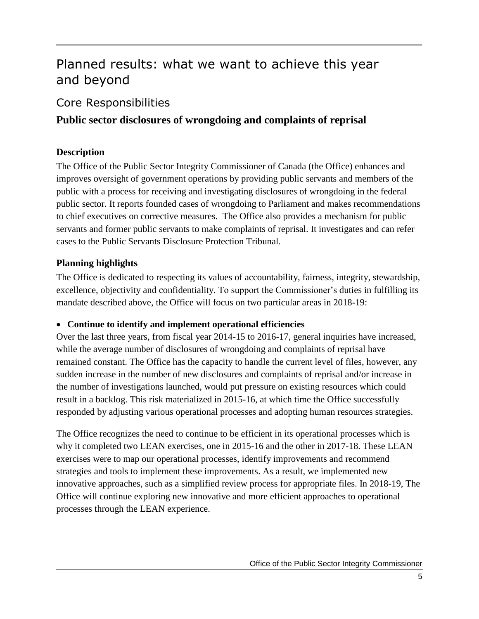# <span id="page-8-0"></span>Planned results: what we want to achieve this year and beyond

# <span id="page-8-1"></span>Core Responsibilities

# <span id="page-8-2"></span>**Public sector disclosures of wrongdoing and complaints of reprisal**

# **Description**

The Office of the Public Sector Integrity Commissioner of Canada (the Office) enhances and improves oversight of government operations by providing public servants and members of the public with a process for receiving and investigating disclosures of wrongdoing in the federal public sector. It reports founded cases of wrongdoing to Parliament and makes recommendations to chief executives on corrective measures. The Office also provides a mechanism for public servants and former public servants to make complaints of reprisal. It investigates and can refer cases to the Public Servants Disclosure Protection Tribunal.

## **Planning highlights**

The Office is dedicated to respecting its values of accountability, fairness, integrity, stewardship, excellence, objectivity and confidentiality. To support the Commissioner's duties in fulfilling its mandate described above, the Office will focus on two particular areas in 2018-19:

## **Continue to identify and implement operational efficiencies**

Over the last three years, from fiscal year 2014-15 to 2016-17, general inquiries have increased, while the average number of disclosures of wrongdoing and complaints of reprisal have remained constant. The Office has the capacity to handle the current level of files, however, any sudden increase in the number of new disclosures and complaints of reprisal and/or increase in the number of investigations launched, would put pressure on existing resources which could result in a backlog. This risk materialized in 2015-16, at which time the Office successfully responded by adjusting various operational processes and adopting human resources strategies.

The Office recognizes the need to continue to be efficient in its operational processes which is why it completed two LEAN exercises, one in 2015-16 and the other in 2017-18. These LEAN exercises were to map our operational processes, identify improvements and recommend strategies and tools to implement these improvements. As a result, we implemented new innovative approaches, such as a simplified review process for appropriate files. In 2018-19, The Office will continue exploring new innovative and more efficient approaches to operational processes through the LEAN experience.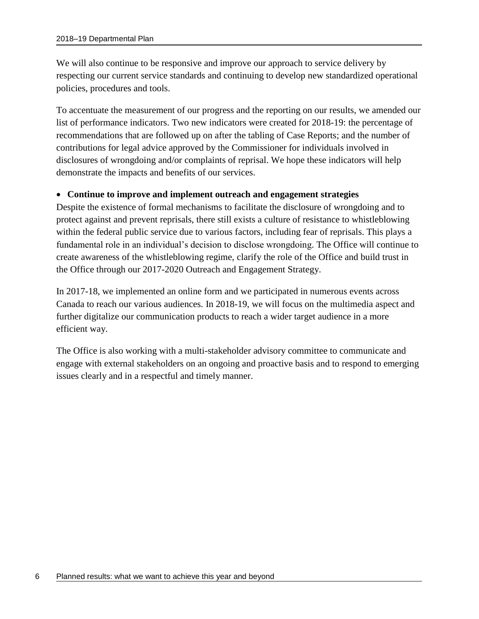We will also continue to be responsive and improve our approach to service delivery by respecting our current service standards and continuing to develop new standardized operational policies, procedures and tools.

To accentuate the measurement of our progress and the reporting on our results, we amended our list of performance indicators. Two new indicators were created for 2018-19: the percentage of recommendations that are followed up on after the tabling of Case Reports; and the number of contributions for legal advice approved by the Commissioner for individuals involved in disclosures of wrongdoing and/or complaints of reprisal. We hope these indicators will help demonstrate the impacts and benefits of our services.

### **Continue to improve and implement outreach and engagement strategies**

Despite the existence of formal mechanisms to facilitate the disclosure of wrongdoing and to protect against and prevent reprisals, there still exists a culture of resistance to whistleblowing within the federal public service due to various factors, including fear of reprisals. This plays a fundamental role in an individual's decision to disclose wrongdoing. The Office will continue to create awareness of the whistleblowing regime, clarify the role of the Office and build trust in the Office through our 2017-2020 Outreach and Engagement Strategy.

In 2017-18, we implemented an online form and we participated in numerous events across Canada to reach our various audiences. In 2018-19, we will focus on the multimedia aspect and further digitalize our communication products to reach a wider target audience in a more efficient way.

The Office is also working with a multi-stakeholder advisory committee to communicate and engage with external stakeholders on an ongoing and proactive basis and to respond to emerging issues clearly and in a respectful and timely manner.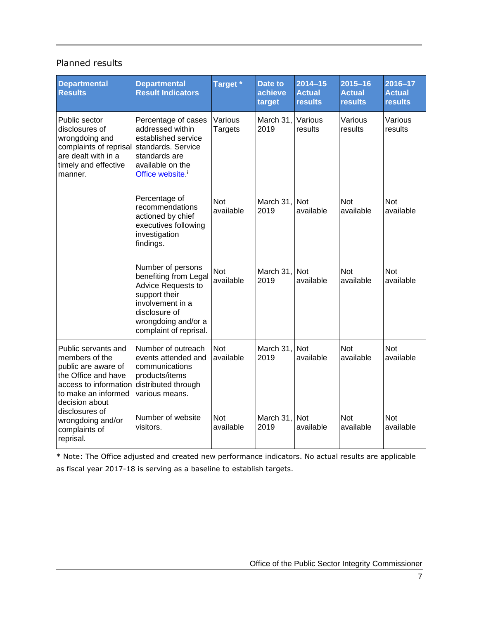### Planned results

| <b>Departmental</b><br><b>Results</b>                                                                                                                 | <b>Departmental</b><br><b>Result Indicators</b>                                                                                                                         | Target *                  | Date to<br>achieve<br>target | $2014 - 15$<br><b>Actual</b><br>results | $2015 - 16$<br><b>Actual</b><br><b>results</b> | 2016-17<br><b>Actual</b><br><b>results</b> |
|-------------------------------------------------------------------------------------------------------------------------------------------------------|-------------------------------------------------------------------------------------------------------------------------------------------------------------------------|---------------------------|------------------------------|-----------------------------------------|------------------------------------------------|--------------------------------------------|
| Public sector<br>disclosures of<br>wrongdoing and<br>complaints of reprisal<br>are dealt with in a<br>timely and effective<br>manner.                 | Percentage of cases<br>addressed within<br>established service<br>standards. Service<br>standards are<br>available on the<br>Office website. <sup>i</sup>               | Various<br><b>Targets</b> | March 31,<br>2019            | Various<br>results                      | Various<br>results                             | Various<br>results                         |
|                                                                                                                                                       | Percentage of<br>recommendations<br>actioned by chief<br>executives following<br>investigation<br>findings.                                                             | <b>Not</b><br>available   | March 31,<br>2019            | <b>Not</b><br>available                 | <b>Not</b><br>available                        | <b>Not</b><br>available                    |
|                                                                                                                                                       | Number of persons<br>benefiting from Legal<br>Advice Requests to<br>support their<br>involvement in a<br>disclosure of<br>wrongdoing and/or a<br>complaint of reprisal. | <b>Not</b><br>available   | March 31,<br>2019            | <b>Not</b><br>available                 | <b>Not</b><br>available                        | <b>Not</b><br>available                    |
| Public servants and<br>members of the<br>public are aware of<br>the Office and have<br>access to information<br>to make an informed<br>decision about | Number of outreach<br>events attended and<br>communications<br>products/items<br>distributed through<br>various means.                                                  | <b>Not</b><br>available   | March 31.<br>2019            | <b>Not</b><br>available                 | <b>Not</b><br>available                        | <b>Not</b><br>available                    |
| disclosures of<br>wrongdoing and/or<br>complaints of<br>reprisal.                                                                                     | Number of website<br>visitors.                                                                                                                                          | <b>Not</b><br>available   | March 31,<br>2019            | <b>Not</b><br>available                 | <b>Not</b><br>available                        | <b>Not</b><br>available                    |

\* Note: The Office adjusted and created new performance indicators. No actual results are applicable as fiscal year 2017-18 is serving as a baseline to establish targets.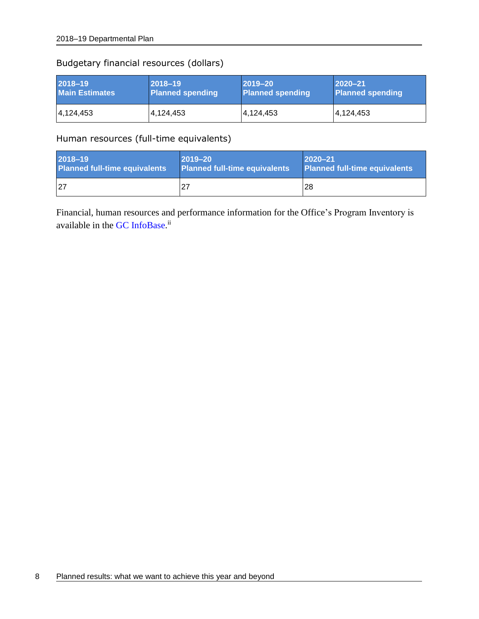# Budgetary financial resources (dollars)

| 2018-19               | $ 2018 - 19 $           | $ 2019 - 20 $           | $ 2020 - 21$            |
|-----------------------|-------------------------|-------------------------|-------------------------|
| <b>Main Estimates</b> | <b>Planned spending</b> | <b>Planned spending</b> | <b>Planned spending</b> |
| 4,124,453             | 4,124,453               | 4,124,453               | 4,124,453               |

Human resources (full-time equivalents)

| 2018-19                              | $2019 - 20$                   | $ 2020 - 21$                         |
|--------------------------------------|-------------------------------|--------------------------------------|
| <b>Planned full-time equivalents</b> | Planned full-time equivalents | <b>Planned full-time equivalents</b> |
| 27                                   |                               | <b>28</b>                            |

Financial, human resources and performance information for the Office's Program Inventory is available in the GC [InfoBase.](https://www.tbs-sct.gc.ca/ems-sgd/edb-bdd/index-eng.html)<sup>ii</sup>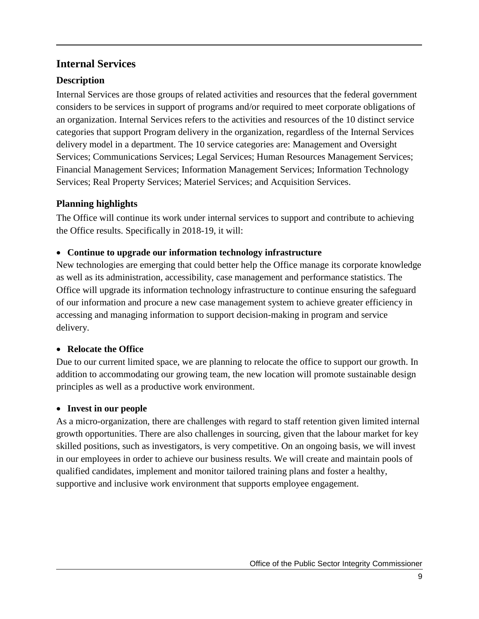# <span id="page-12-0"></span>**Internal Services**

# **Description**

Internal Services are those groups of related activities and resources that the federal government considers to be services in support of programs and/or required to meet corporate obligations of an organization. Internal Services refers to the activities and resources of the 10 distinct service categories that support Program delivery in the organization, regardless of the Internal Services delivery model in a department. The 10 service categories are: Management and Oversight Services; Communications Services; Legal Services; Human Resources Management Services; Financial Management Services; Information Management Services; Information Technology Services; Real Property Services; Materiel Services; and Acquisition Services.

## **Planning highlights**

The Office will continue its work under internal services to support and contribute to achieving the Office results. Specifically in 2018-19, it will:

### **Continue to upgrade our information technology infrastructure**

New technologies are emerging that could better help the Office manage its corporate knowledge as well as its administration, accessibility, case management and performance statistics. The Office will upgrade its information technology infrastructure to continue ensuring the safeguard of our information and procure a new case management system to achieve greater efficiency in accessing and managing information to support decision-making in program and service delivery.

## **Relocate the Office**

Due to our current limited space, we are planning to relocate the office to support our growth. In addition to accommodating our growing team, the new location will promote sustainable design principles as well as a productive work environment.

## **Invest in our people**

As a micro-organization, there are challenges with regard to staff retention given limited internal growth opportunities. There are also challenges in sourcing, given that the labour market for key skilled positions, such as investigators, is very competitive. On an ongoing basis, we will invest in our employees in order to achieve our business results. We will create and maintain pools of qualified candidates, implement and monitor tailored training plans and foster a healthy, supportive and inclusive work environment that supports employee engagement.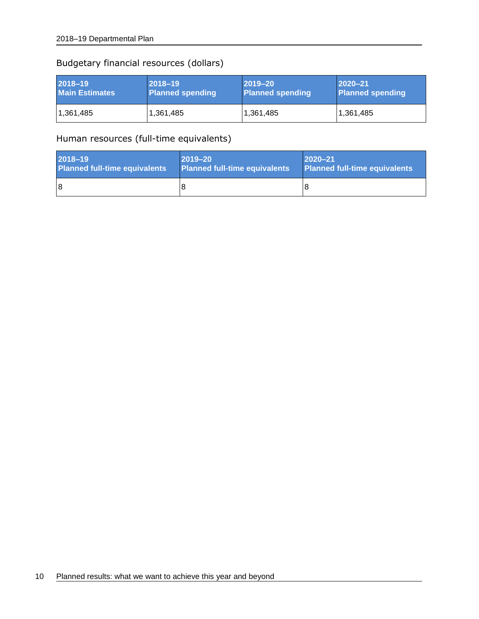### Budgetary financial resources (dollars)

| 2018-19               | $2018 - 19$             | $ 2019 - 20 $           | $ 2020 - 21$            |
|-----------------------|-------------------------|-------------------------|-------------------------|
| <b>Main Estimates</b> | <b>Planned spending</b> | <b>Planned spending</b> | <b>Planned spending</b> |
| 1,361,485             | 1,361,485               | 1,361,485               | 1,361,485               |

### Human resources (full-time equivalents)

| 2018-19                              | $ 2019 - 20 $                        | $ 2020 - 21$                         |
|--------------------------------------|--------------------------------------|--------------------------------------|
| <b>Planned full-time equivalents</b> | <b>Planned full-time equivalents</b> | <b>Planned full-time equivalents</b> |
| 18                                   |                                      | 8                                    |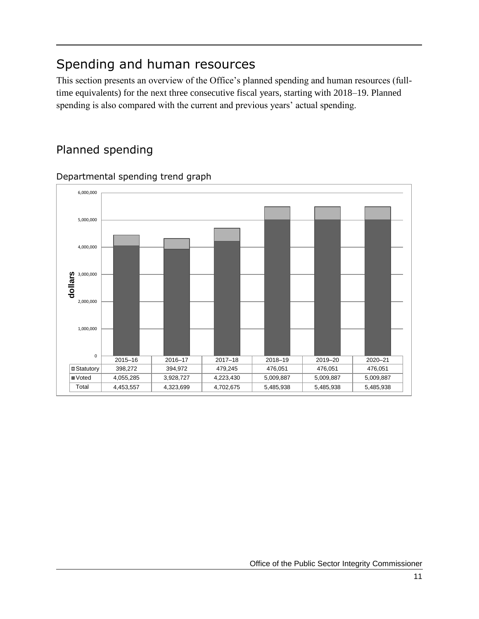# <span id="page-14-0"></span>Spending and human resources

This section presents an overview of the Office's planned spending and human resources (fulltime equivalents) for the next three consecutive fiscal years, starting with 2018–19. Planned spending is also compared with the current and previous years' actual spending.

# <span id="page-14-1"></span>Planned spending



Departmental spending trend graph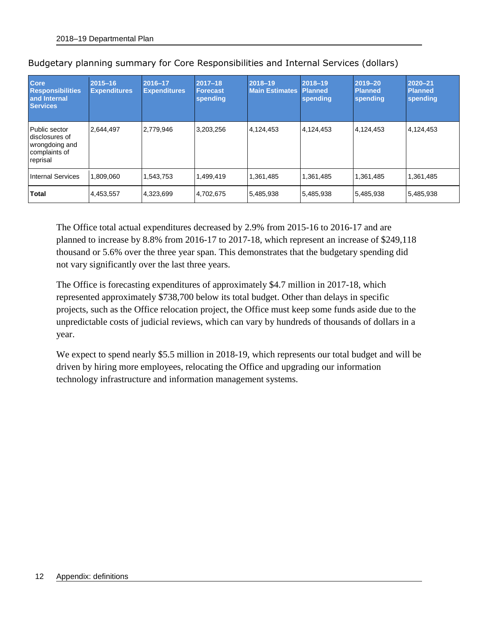| <b>Core</b><br><b>Responsibilities</b><br>and Internal<br><b>Services</b>      | $2015 - 16$<br><b>Expenditures</b> | 2016-17<br><b>Expenditures</b> | $2017 - 18$<br><b>Forecast</b><br>spending | 2018-19<br><b>Main Estimates</b> | 2018-19<br><b>Planned</b><br>spending | 2019-20<br><b>Planned</b><br>spending | 2020-21<br><b>Planned</b><br>spending |
|--------------------------------------------------------------------------------|------------------------------------|--------------------------------|--------------------------------------------|----------------------------------|---------------------------------------|---------------------------------------|---------------------------------------|
| Public sector<br>disclosures of<br>wrongdoing and<br>complaints of<br>reprisal | 2.644.497                          | 2,779,946                      | 3,203,256                                  | 4,124,453                        | 4,124,453                             | 4,124,453                             | 4,124,453                             |
| Internal Services                                                              | 1,809,060                          | 1.543.753                      | 1,499,419                                  | 1,361,485                        | 1,361,485                             | 1,361,485                             | 1,361,485                             |
| <b>Total</b>                                                                   | 4,453,557                          | 4,323,699                      | 4,702,675                                  | 5,485,938                        | 5,485,938                             | 5,485,938                             | 5,485,938                             |

|  | Budgetary planning summary for Core Responsibilities and Internal Services (dollars) |  |  |  |  |  |
|--|--------------------------------------------------------------------------------------|--|--|--|--|--|
|--|--------------------------------------------------------------------------------------|--|--|--|--|--|

The Office total actual expenditures decreased by 2.9% from 2015-16 to 2016-17 and are planned to increase by 8.8% from 2016-17 to 2017-18, which represent an increase of \$249,118 thousand or 5.6% over the three year span. This demonstrates that the budgetary spending did not vary significantly over the last three years.

The Office is forecasting expenditures of approximately \$4.7 million in 2017-18, which represented approximately \$738,700 below its total budget. Other than delays in specific projects, such as the Office relocation project, the Office must keep some funds aside due to the unpredictable costs of judicial reviews, which can vary by hundreds of thousands of dollars in a year.

We expect to spend nearly \$5.5 million in 2018-19, which represents our total budget and will be driven by hiring more employees, relocating the Office and upgrading our information technology infrastructure and information management systems.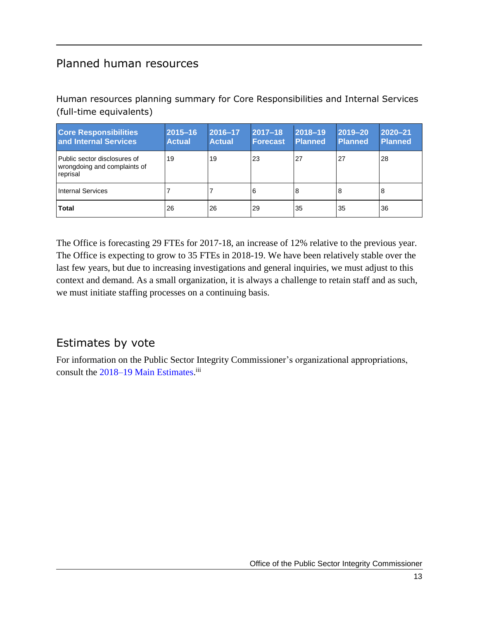# <span id="page-16-0"></span>Planned human resources

Human resources planning summary for Core Responsibilities and Internal Services (full-time equivalents)

| <b>Core Responsibilities</b><br>and Internal Services                    | 2015-16<br><b>Actual</b> | 2016-17<br><b>Actual</b> | $2017 - 18$<br><b>Forecast</b> | 2018-19<br><b>Planned</b> | $ 2019 - 20$<br>Planned | $\sqrt{2020-21}$<br><b>Planned</b> |
|--------------------------------------------------------------------------|--------------------------|--------------------------|--------------------------------|---------------------------|-------------------------|------------------------------------|
| Public sector disclosures of<br>wrongdoing and complaints of<br>reprisal | 19                       | 19                       | 23                             | 27                        | 27                      | 28                                 |
| <b>Internal Services</b>                                                 |                          |                          | 6                              | 8                         | 8                       | 8                                  |
| <b>Total</b>                                                             | 26                       | 26                       | 29                             | 35                        | 35                      | 36                                 |

The Office is forecasting 29 FTEs for 2017-18, an increase of 12% relative to the previous year. The Office is expecting to grow to 35 FTEs in 2018-19. We have been relatively stable over the last few years, but due to increasing investigations and general inquiries, we must adjust to this context and demand. As a small organization, it is always a challenge to retain staff and as such, we must initiate staffing processes on a continuing basis.

# <span id="page-16-1"></span>Estimates by vote

For information on the Public Sector Integrity Commissioner's organizational appropriations, consult the [2018–19 Main Estimates.](http://www.tbs-sct.gc.ca/hgw-cgf/finances/pgs-pdg/gepme-pdgbpd/index-eng.asp)<sup>iii</sup>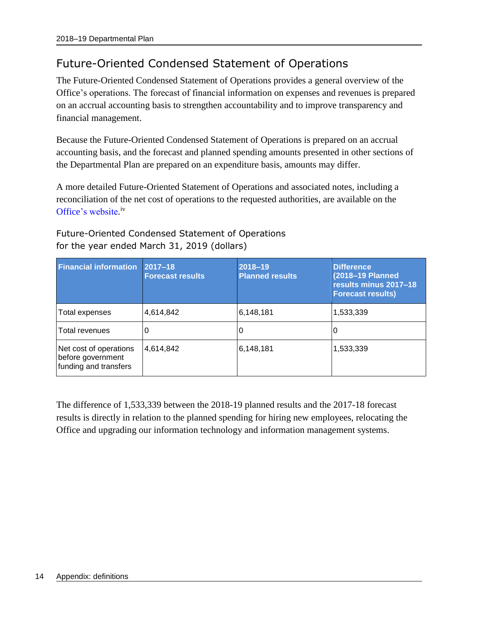# <span id="page-17-0"></span>Future-Oriented Condensed Statement of Operations

The Future-Oriented Condensed Statement of Operations provides a general overview of the Office's operations. The forecast of financial information on expenses and revenues is prepared on an accrual accounting basis to strengthen accountability and to improve transparency and financial management.

Because the Future-Oriented Condensed Statement of Operations is prepared on an accrual accounting basis, and the forecast and planned spending amounts presented in other sections of the Departmental Plan are prepared on an expenditure basis, amounts may differ.

A more detailed Future-Oriented Statement of Operations and associated notes, including a reconciliation of the net cost of operations to the requested authorities, are available on the [Office's website.](https://www.psic-ispc.gc.ca/eng/about-us/corporate-publications/2018-19-future-oriented-statement-operations)<sup>iv</sup>

| <b>Financial information</b>                                         | 2017-18<br><b>Forecast results</b> | 2018-19<br><b>Planned results</b> | <b>Difference</b><br>(2018-19 Planned<br>results minus 2017-18<br><b>Forecast results)</b> |
|----------------------------------------------------------------------|------------------------------------|-----------------------------------|--------------------------------------------------------------------------------------------|
| Total expenses                                                       | 4,614,842                          | 6,148,181                         | 1,533,339                                                                                  |
| Total revenues                                                       | 0                                  |                                   | υ                                                                                          |
| Net cost of operations<br>before government<br>funding and transfers | 4,614,842                          | 6,148,181                         | 1,533,339                                                                                  |

Future-Oriented Condensed Statement of Operations for the year ended March 31, 2019 (dollars)

The difference of 1,533,339 between the 2018-19 planned results and the 2017-18 forecast results is directly in relation to the planned spending for hiring new employees, relocating the Office and upgrading our information technology and information management systems.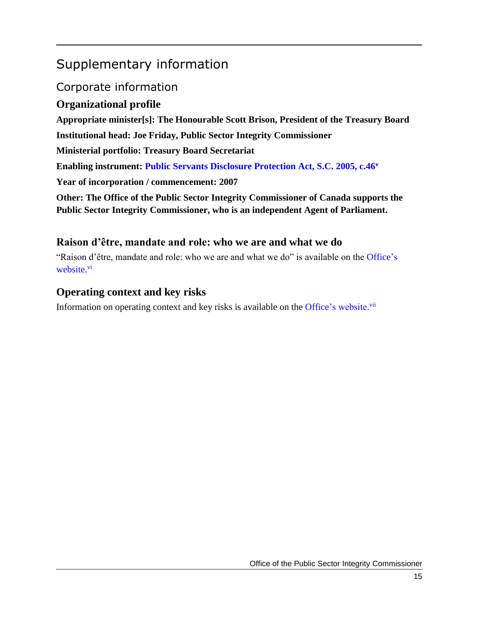# <span id="page-18-0"></span>Supplementary information

# <span id="page-18-1"></span>Corporate information

# <span id="page-18-2"></span>**Organizational profile**

**Appropriate minister[s]: The Honourable Scott Brison, President of the Treasury Board Institutional head: Joe Friday, Public Sector Integrity Commissioner Ministerial portfolio: Treasury Board Secretariat Enabling instrument: [Public Servants Disclosure Protection Act, S.C. 2005, c.46](http://laws-lois.justice.gc.ca/eng/acts/P-31.9/)<sup>v</sup> Year of incorporation / commencement: 2007 Other: The Office of the Public Sector Integrity Commissioner of Canada supports the Public Sector Integrity Commissioner, who is an independent Agent of Parliament.**

# <span id="page-18-3"></span>**Raison d'être, mandate and role: who we are and what we do**

"Raison d'être, mandate and role: who we are and what we do" is available on the [Office's](https://www.psic-ispc.gc.ca/eng/about-us/corporate-publications/2018-19-corporate-information)  [website.](https://www.psic-ispc.gc.ca/eng/about-us/corporate-publications/2018-19-corporate-information)<sup>vi</sup>

# <span id="page-18-4"></span>**Operating context and key risks**

Information on operating context and key risks is available on the [Office's website.](https://www.psic-ispc.gc.ca/eng/about-us/corporate-publications/2018-19-corporate-information)<sup>vii</sup>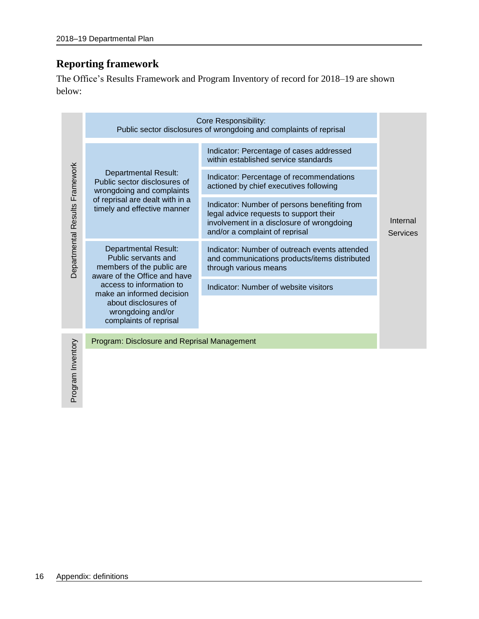# <span id="page-19-0"></span>**Reporting framework**

The Office's Results Framework and Program Inventory of record for 2018–19 are shown below:

|                                |                                                                                                                 | Core Responsibility:<br>Public sector disclosures of wrongdoing and complaints of reprisal                                                                            |                             |
|--------------------------------|-----------------------------------------------------------------------------------------------------------------|-----------------------------------------------------------------------------------------------------------------------------------------------------------------------|-----------------------------|
|                                |                                                                                                                 | Indicator: Percentage of cases addressed<br>within established service standards                                                                                      |                             |
|                                | <b>Departmental Result:</b><br>Public sector disclosures of<br>wrongdoing and complaints                        | Indicator: Percentage of recommendations<br>actioned by chief executives following                                                                                    |                             |
| Departmental Results Framework | of reprisal are dealt with in a<br>timely and effective manner                                                  | Indicator: Number of persons benefiting from<br>legal advice requests to support their<br>involvement in a disclosure of wrongdoing<br>and/or a complaint of reprisal | Internal<br><b>Services</b> |
|                                | <b>Departmental Result:</b><br>Public servants and<br>members of the public are<br>aware of the Office and have | Indicator: Number of outreach events attended<br>and communications products/items distributed<br>through various means                                               |                             |
|                                | access to information to<br>make an informed decision                                                           | Indicator: Number of website visitors                                                                                                                                 |                             |
|                                | about disclosures of<br>wrongdoing and/or<br>complaints of reprisal                                             |                                                                                                                                                                       |                             |
| hory                           | Program: Disclosure and Reprisal Management                                                                     |                                                                                                                                                                       |                             |

Program Inventory Program Inver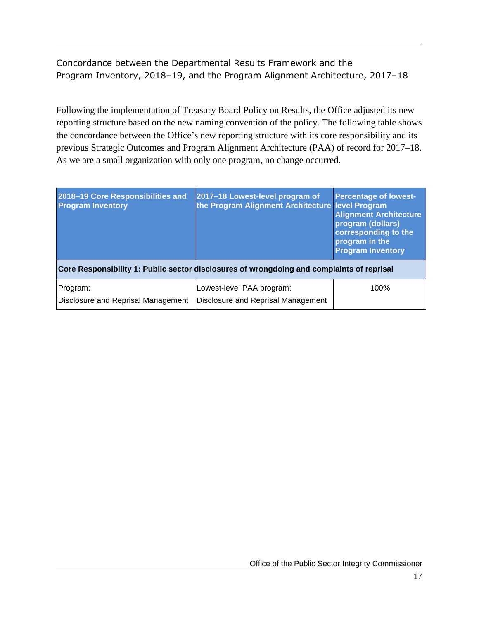# Concordance between the Departmental Results Framework and the Program Inventory, 2018–19, and the Program Alignment Architecture, 2017–18

Following the implementation of Treasury Board Policy on Results, the Office adjusted its new reporting structure based on the new naming convention of the policy. The following table shows the concordance between the Office's new reporting structure with its core responsibility and its previous Strategic Outcomes and Program Alignment Architecture (PAA) of record for 2017–18. As we are a small organization with only one program, no change occurred.

| 2018-19 Core Responsibilities and<br><b>Program Inventory</b> | 2017-18 Lowest-level program of<br>the Program Alignment Architecture level Program       | <b>Percentage of lowest-</b><br><b>Alignment Architecture</b><br>program (dollars)<br>corresponding to the<br>program in the<br><b>Program Inventory</b> |
|---------------------------------------------------------------|-------------------------------------------------------------------------------------------|----------------------------------------------------------------------------------------------------------------------------------------------------------|
|                                                               | Core Responsibility 1: Public sector disclosures of wrongdoing and complaints of reprisal |                                                                                                                                                          |
| Program:<br>Disclosure and Reprisal Management                | Lowest-level PAA program:<br>Disclosure and Reprisal Management                           | 100%                                                                                                                                                     |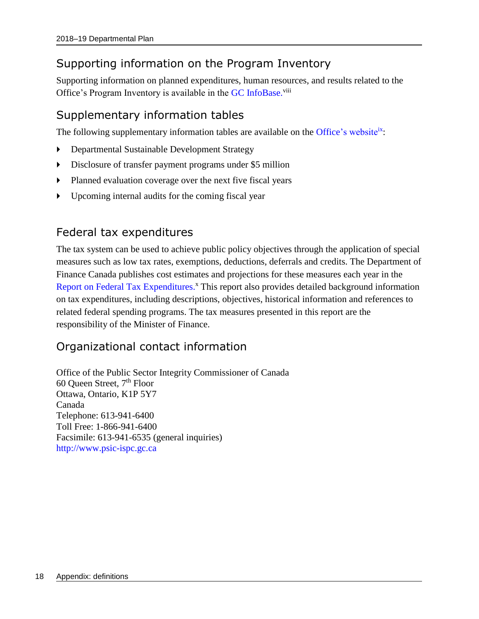# <span id="page-21-0"></span>Supporting information on the Program Inventory

Supporting information on planned expenditures, human resources, and results related to the Office's Program Inventory is available in the GC [InfoBase.](https://www.tbs-sct.gc.ca/ems-sgd/edb-bdd/index-eng.html)<sup>viii</sup>

# <span id="page-21-1"></span>Supplementary information tables

The following supplementary information tables are available on the [Office's website](https://www.psic-ispc.gc.ca/eng/about-us/corporate-publications/2018-19-supplementary-information-tables)<sup>ix</sup>:

- Departmental Sustainable Development Strategy
- Disclosure of transfer payment programs under \$5 million
- Planned evaluation coverage over the next five fiscal years
- Upcoming internal audits for the coming fiscal year

# <span id="page-21-2"></span>Federal tax expenditures

The tax system can be used to achieve public policy objectives through the application of special measures such as low tax rates, exemptions, deductions, deferrals and credits. The Department of Finance Canada publishes cost estimates and projections for these measures each year in the [Report on Federal Tax Expenditures.](http://www.fin.gc.ca/purl/taxexp-eng.asp)<sup>x</sup> This report also provides detailed background information on tax expenditures, including descriptions, objectives, historical information and references to related federal spending programs. The tax measures presented in this report are the responsibility of the Minister of Finance.

# <span id="page-21-3"></span>Organizational contact information

Office of the Public Sector Integrity Commissioner of Canada 60 Queen Street, 7th Floor Ottawa, Ontario, K1P 5Y7 Canada Telephone: 613-941-6400 Toll Free: 1-866-941-6400 Facsimile: 613-941-6535 (general inquiries) [http://www.psic-ispc.gc.ca](http://www.psic-ispc.gc.ca/)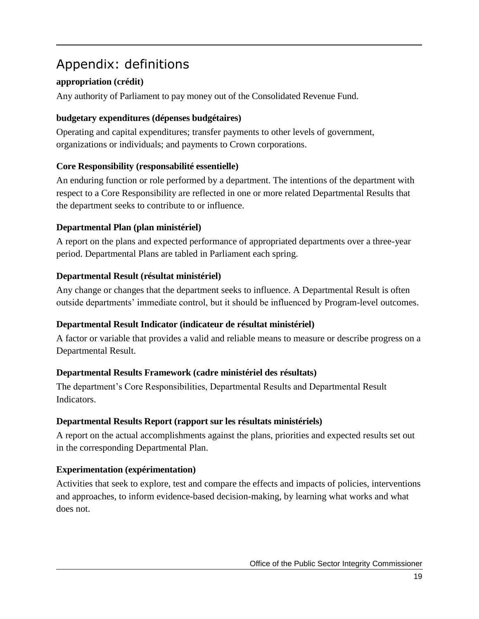# <span id="page-22-0"></span>Appendix: definitions

# **appropriation (crédit)**

Any authority of Parliament to pay money out of the Consolidated Revenue Fund.

# **budgetary expenditures (dépenses budgétaires)**

Operating and capital expenditures; transfer payments to other levels of government, organizations or individuals; and payments to Crown corporations.

## **Core Responsibility (responsabilité essentielle)**

An enduring function or role performed by a department. The intentions of the department with respect to a Core Responsibility are reflected in one or more related Departmental Results that the department seeks to contribute to or influence.

## **Departmental Plan (plan ministériel)**

A report on the plans and expected performance of appropriated departments over a three-year period. Departmental Plans are tabled in Parliament each spring.

## **Departmental Result (résultat ministériel)**

Any change or changes that the department seeks to influence. A Departmental Result is often outside departments' immediate control, but it should be influenced by Program-level outcomes.

## **Departmental Result Indicator (indicateur de résultat ministériel)**

A factor or variable that provides a valid and reliable means to measure or describe progress on a Departmental Result.

## **Departmental Results Framework (cadre ministériel des résultats)**

The department's Core Responsibilities, Departmental Results and Departmental Result Indicators.

## **Departmental Results Report (rapport sur les résultats ministériels)**

A report on the actual accomplishments against the plans, priorities and expected results set out in the corresponding Departmental Plan.

# **Experimentation (expérimentation)**

Activities that seek to explore, test and compare the effects and impacts of policies, interventions and approaches, to inform evidence-based decision-making, by learning what works and what does not.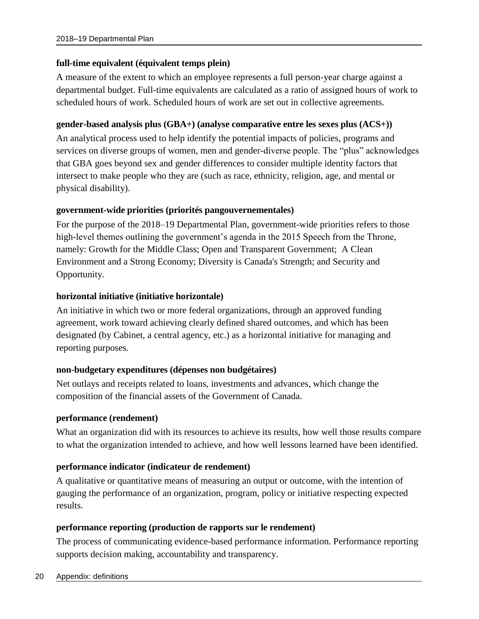### **full-time equivalent (équivalent temps plein)**

A measure of the extent to which an employee represents a full person-year charge against a departmental budget. Full-time equivalents are calculated as a ratio of assigned hours of work to scheduled hours of work. Scheduled hours of work are set out in collective agreements.

### **gender-based analysis plus (GBA+) (analyse comparative entre les sexes plus (ACS+))**

An analytical process used to help identify the potential impacts of policies, programs and services on diverse groups of women, men and gender-diverse people. The "plus" acknowledges that GBA goes beyond sex and gender differences to consider multiple identity factors that intersect to make people who they are (such as race, ethnicity, religion, age, and mental or physical disability).

### **government-wide priorities (priorités pangouvernementales)**

For the purpose of the 2018–19 Departmental Plan, government-wide priorities refers to those high-level themes outlining the government's agenda in the 2015 Speech from the Throne, namely: Growth for the Middle Class; Open and Transparent Government; A Clean Environment and a Strong Economy; Diversity is Canada's Strength; and Security and Opportunity.

### **horizontal initiative (initiative horizontale)**

An initiative in which two or more federal organizations, through an approved funding agreement, work toward achieving clearly defined shared outcomes, and which has been designated (by Cabinet, a central agency, etc.) as a horizontal initiative for managing and reporting purposes.

### **non-budgetary expenditures (dépenses non budgétaires)**

Net outlays and receipts related to loans, investments and advances, which change the composition of the financial assets of the Government of Canada.

#### **performance (rendement)**

What an organization did with its resources to achieve its results, how well those results compare to what the organization intended to achieve, and how well lessons learned have been identified.

### **performance indicator (indicateur de rendement)**

A qualitative or quantitative means of measuring an output or outcome, with the intention of gauging the performance of an organization, program, policy or initiative respecting expected results.

#### **performance reporting (production de rapports sur le rendement)**

The process of communicating evidence-based performance information. Performance reporting supports decision making, accountability and transparency.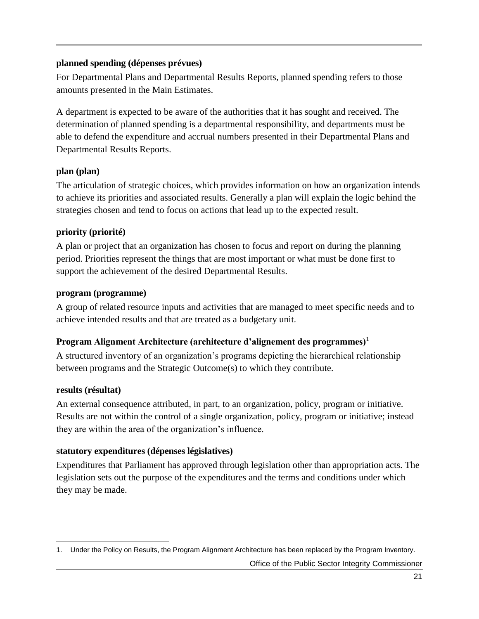### **planned spending (dépenses prévues)**

For Departmental Plans and Departmental Results Reports, planned spending refers to those amounts presented in the Main Estimates.

A department is expected to be aware of the authorities that it has sought and received. The determination of planned spending is a departmental responsibility, and departments must be able to defend the expenditure and accrual numbers presented in their Departmental Plans and Departmental Results Reports.

### **plan (plan)**

The articulation of strategic choices, which provides information on how an organization intends to achieve its priorities and associated results. Generally a plan will explain the logic behind the strategies chosen and tend to focus on actions that lead up to the expected result.

## **priority (priorité)**

A plan or project that an organization has chosen to focus and report on during the planning period. Priorities represent the things that are most important or what must be done first to support the achievement of the desired Departmental Results.

### **program (programme)**

A group of related resource inputs and activities that are managed to meet specific needs and to achieve intended results and that are treated as a budgetary unit.

## **Program** Alignment Architecture (architecture d'alignement des programmes)<sup>1</sup>

A structured inventory of an organization's programs depicting the hierarchical relationship between programs and the Strategic Outcome(s) to which they contribute.

## **results (résultat)**

 $\overline{a}$ 

An external consequence attributed, in part, to an organization, policy, program or initiative. Results are not within the control of a single organization, policy, program or initiative; instead they are within the area of the organization's influence.

## **statutory expenditures (dépenses législatives)**

Expenditures that Parliament has approved through legislation other than appropriation acts. The legislation sets out the purpose of the expenditures and the terms and conditions under which they may be made.

Office of the Public Sector Integrity Commissioner

<sup>1.</sup> Under the Policy on Results, the Program Alignment Architecture has been replaced by the Program Inventory.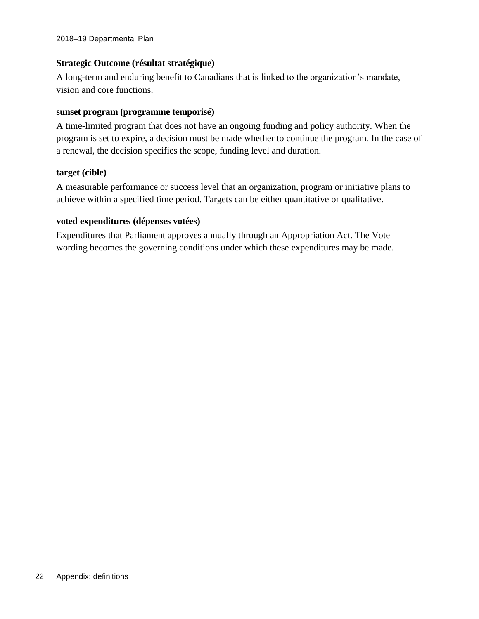### **Strategic Outcome (résultat stratégique)**

A long-term and enduring benefit to Canadians that is linked to the organization's mandate, vision and core functions.

#### **sunset program (programme temporisé)**

A time-limited program that does not have an ongoing funding and policy authority. When the program is set to expire, a decision must be made whether to continue the program. In the case of a renewal, the decision specifies the scope, funding level and duration.

#### **target (cible)**

A measurable performance or success level that an organization, program or initiative plans to achieve within a specified time period. Targets can be either quantitative or qualitative.

### **voted expenditures (dépenses votées)**

Expenditures that Parliament approves annually through an Appropriation Act. The Vote wording becomes the governing conditions under which these expenditures may be made.